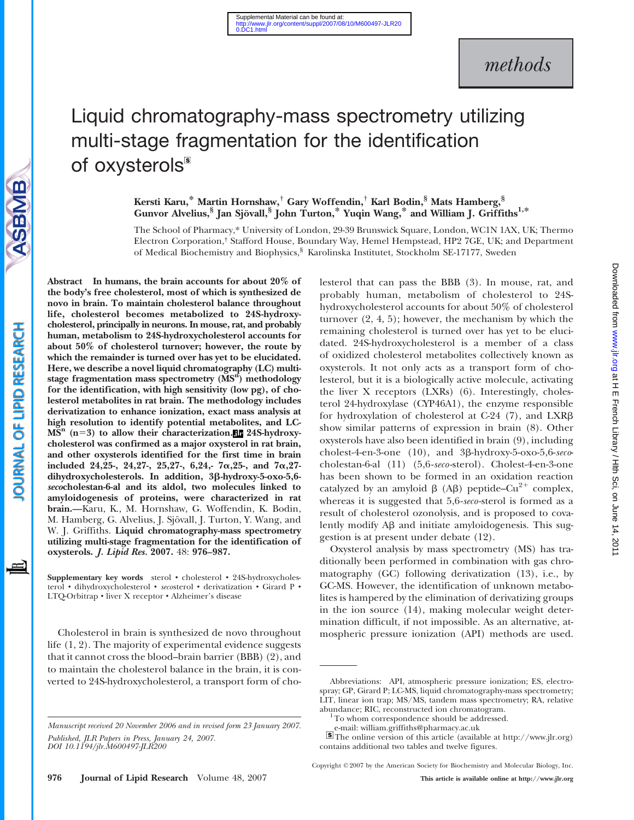# methods

# Liquid chromatography-mass spectrometry utilizing multi-stage fragmentation for the identification of oxysterols<sup>5</sup>

Kersti Karu,\* Martin Hornshaw,† Gary Woffendin,† Karl Bodin,§ Mats Hamberg,§ Gunvor Alvelius,<sup>§</sup> Jan Sjövall,<sup>§</sup> John Turton,<sup>\*</sup> Yuqin Wang,<sup>\*</sup> and William J. Griffiths<sup>1,\*</sup>

The School of Pharmacy,\* University of London, 29-39 Brunswick Square, London, WC1N 1AX, UK; Thermo Electron Corporation,† Stafford House, Boundary Way, Hemel Hempstead, HP2 7GE, UK; and Department of Medical Biochemistry and Biophysics,§ Karolinska Institutet, Stockholm SE-17177, Sweden

Abstract In humans, the brain accounts for about 20% of the body's free cholesterol, most of which is synthesized de novo in brain. To maintain cholesterol balance throughout life, cholesterol becomes metabolized to 24S-hydroxycholesterol, principally in neurons. In mouse, rat, and probably human, metabolism to 24S-hydroxycholesterol accounts for about 50% of cholesterol turnover; however, the route by which the remainder is turned over has yet to be elucidated. Here, we describe a novel liquid chromatography (LC) multistage fragmentation mass spectrometry (MS<sup>n</sup>) methodology for the identification, with high sensitivity (low pg), of cholesterol metabolites in rat brain. The methodology includes derivatization to enhance ionization, exact mass analysis at high resolution to identify potential metabolites, and LC- $MS<sup>n</sup>$  (n=3) to allow their characterization. 24S-hydroxycholesterol was confirmed as a major oxysterol in rat brain, and other oxysterols identified for the first time in brain included 24,25-, 24,27-, 25,27-, 6,24,-  $7\alpha$ ,25-, and  $7\alpha$ ,27dihydroxycholesterols. In addition, 3ß-hydroxy-5-oxo-5,6secocholestan-6-al and its aldol, two molecules linked to amyloidogenesis of proteins, were characterized in rat brain.—Karu, K., M. Hornshaw, G. Woffendin, K. Bodin, M. Hamberg, G. Alvelius, J. Sjövall, J. Turton, Y. Wang, and W. J. Griffiths. Liquid chromatography-mass spectrometry utilizing multi-stage fragmentation for the identification of oxysterols. J. Lipid Res. 2007. 48: 976–987.

Supplementary key words sterol • cholesterol • 24S-hydroxycholesterol • dihydroxycholesterol • secosterol • derivatization • Girard P • LTQ-Orbitrap & liver X receptor & Alzheimer's disease

Cholesterol in brain is synthesized de novo throughout life (1, 2). The majority of experimental evidence suggests that it cannot cross the blood–brain barrier (BBB) (2), and to maintain the cholesterol balance in the brain, it is converted to 24S-hydroxycholesterol, a transport form of cholesterol that can pass the BBB (3). In mouse, rat, and probably human, metabolism of cholesterol to 24Shydroxycholesterol accounts for about 50% of cholesterol turnover (2, 4, 5); however, the mechanism by which the remaining cholesterol is turned over has yet to be elucidated. 24S-hydroxycholesterol is a member of a class of oxidized cholesterol metabolites collectively known as oxysterols. It not only acts as a transport form of cholesterol, but it is a biologically active molecule, activating the liver X receptors (LXRs) (6). Interestingly, cholesterol 24-hydroxylase (CYP46A1), the enzyme responsible for hydroxylation of cholesterol at C-24  $(7)$ , and LXR $\beta$ show similar patterns of expression in brain (8). Other oxysterols have also been identified in brain (9), including cholest-4-en-3-one  $(10)$ , and  $3\beta$ -hydroxy-5-oxo-5,6-secocholestan-6-al (11) (5,6-seco -sterol). Cholest-4-en-3-one has been shown to be formed in an oxidation reaction catalyzed by an amyloid  $\beta$  (A $\beta$ ) peptide–Cu<sup>2+</sup> complex, whereas it is suggested that 5,6-seco-sterol is formed as a result of cholesterol ozonolysis, and is proposed to covalently modify  $\overrightarrow{AB}$  and initiate amyloidogenesis. This suggestion is at present under debate (12).

Oxysterol analysis by mass spectrometry (MS) has traditionally been performed in combination with gas chromatography (GC) following derivatization (13), i.e., by GC-MS. However, the identification of unknown metabolites is hampered by the elimination of derivatizing groups in the ion source (14), making molecular weight determination difficult, if not impossible. As an alternative, atmospheric pressure ionization (API) methods are used.

Copyright *D* 2007 by the American Society for Biochemistry and Molecular Biology, Inc.

SBMB

Manuscript received 20 November 2006 and in revised form 23 January 2007. Published, JLR Papers in Press, January 24, 2007. DOI 10.1194/jlr.M600497-JLR200

Abbreviations: API, atmospheric pressure ionization; ES, electrospray; GP, Girard P; LC-MS, liquid chromatography-mass spectrometry; LIT, linear ion trap; MS/MS, tandem mass spectrometry; RA, relative abundance; RIC, reconstructed ion chromatogram. 1To whom correspondence should be addressed.

e-mail: william.griffiths@pharmacy.ac.uk

The online version of this article (available at http://www.jlr.org) contains additional two tables and twelve figures.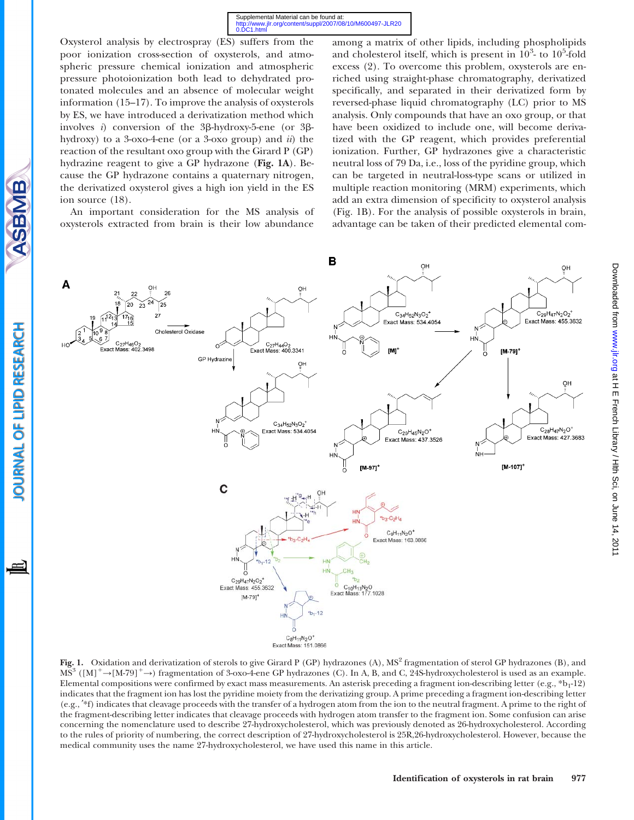Oxysterol analysis by electrospray (ES) suffers from the poor ionization cross-section of oxysterols, and atmospheric pressure chemical ionization and atmospheric pressure photoionization both lead to dehydrated protonated molecules and an absence of molecular weight information (15–17). To improve the analysis of oxysterols by ES, we have introduced a derivatization method which involves i) conversion of the  $3\beta$ -hydroxy-5-ene (or  $3\beta$ hydroxy) to a 3-oxo-4-ene (or a 3-oxo group) and  $ii$ ) the reaction of the resultant oxo group with the Girard P (GP) hydrazine reagent to give a GP hydrazone (Fig. 1A). Because the GP hydrazone contains a quaternary nitrogen, the derivatized oxysterol gives a high ion yield in the ES ion source (18).

An important consideration for the MS analysis of oxysterols extracted from brain is their low abundance

**SBMB** 

OURNAL OF LIPID RESEARCH

among a matrix of other lipids, including phospholipids and cholesterol itself, which is present in  $10^3$ - to  $10^5$ -fold excess (2). To overcome this problem, oxysterols are enriched using straight-phase chromatography, derivatized specifically, and separated in their derivatized form by reversed-phase liquid chromatography (LC) prior to MS analysis. Only compounds that have an oxo group, or that have been oxidized to include one, will become derivatized with the GP reagent, which provides preferential ionization. Further, GP hydrazones give a characteristic neutral loss of 79 Da, i.e., loss of the pyridine group, which can be targeted in neutral-loss-type scans or utilized in multiple reaction monitoring (MRM) experiments, which add an extra dimension of specificity to oxysterol analysis (Fig. 1B). For the analysis of possible oxysterols in brain, advantage can be taken of their predicted elemental com-



Fig. 1. Oxidation and derivatization of sterols to give Girard P (GP) hydrazones (A),  $MS<sup>2</sup>$  fragmentation of sterol GP hydrazones (B), and  $MS<sup>3</sup> ([M]<sup>+</sup>\to [M-79]<sup>+</sup>\to) fragmentation of 3-oxo-4-ene GP hydroxzones (C). In A, B, and C, 24S-hydroxycholesterol is used as an example.$ Elemental compositions were confirmed by exact mass measurements. An asterisk preceding a fragment ion-describing letter (e.g.,  $*b_1-12$ ) indicates that the fragment ion has lost the pyridine moiety from the derivatizing group. A prime preceding a fragment ion-describing letter (e.g.,  $*\mathrm{f}$ ) indicates that cleavage proceeds with the transfer of a hydrogen atom from the ion to the neutral fragment. A prime to the right of the fragment-describing letter indicates that cleavage proceeds with hydrogen atom transfer to the fragment ion. Some confusion can arise concerning the nomenclature used to describe 27-hydroxycholesterol, which was previously denoted as 26-hydroxycholesterol. According to the rules of priority of numbering, the correct description of 27-hydroxycholesterol is 25R,26-hydroxycholesterol. However, because the medical community uses the name 27-hydroxycholesterol, we have used this name in this article.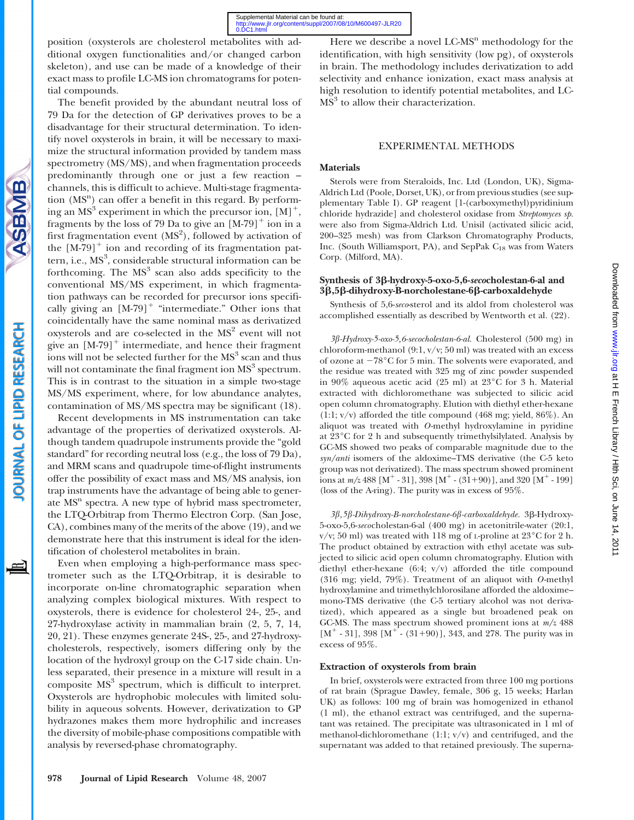position (oxysterols are cholesterol metabolites with additional oxygen functionalities and/or changed carbon skeleton), and use can be made of a knowledge of their exact mass to profile LC-MS ion chromatograms for potential compounds.

The benefit provided by the abundant neutral loss of 79 Da for the detection of GP derivatives proves to be a disadvantage for their structural determination. To identify novel oxysterols in brain, it will be necessary to maximize the structural information provided by tandem mass spectrometry (MS/MS), and when fragmentation proceeds predominantly through one or just a few reaction – channels, this is difficult to achieve. Multi-stage fragmentation (MS<sup>n</sup>) can offer a benefit in this regard. By performing an  $MS<sup>3</sup>$  experiment in which the precursor ion,  $[M]^+,$ fragments by the loss of 79 Da to give an  $[M-79]^+$  ion in a first fragmentation event  $(MS<sup>2</sup>)$ , followed by activation of the  $[M-79]$ <sup>+</sup> ion and recording of its fragmentation pattern, i.e., MS<sup>3</sup>, considerable structural information can be forthcoming. The  $MS<sup>3</sup>$  scan also adds specificity to the conventional MS/MS experiment, in which fragmentation pathways can be recorded for precursor ions specifically giving an  $[M-79]$ <sup>+</sup> "intermediate." Other ions that coincidentally have the same nominal mass as derivatized oxysterols and are co-selected in the MS<sup>2</sup> event will not give an  $[M-79]$ <sup>+</sup> intermediate, and hence their fragment ions will not be selected further for the  $MS<sup>3</sup>$  scan and thus will not contaminate the final fragment ion  $MS<sup>3</sup>$  spectrum. This is in contrast to the situation in a simple two-stage MS/MS experiment, where, for low abundance analytes, contamination of MS/MS spectra may be significant (18).

Recent developments in MS instrumentation can take advantage of the properties of derivatized oxysterols. Although tandem quadrupole instruments provide the "gold standard" for recording neutral loss (e.g., the loss of 79 Da), and MRM scans and quadrupole time-of-flight instruments offer the possibility of exact mass and MS/MS analysis, ion trap instruments have the advantage of being able to generate  $MS<sup>n</sup>$  spectra. A new type of hybrid mass spectrometer, the LTQ-Orbitrap from Thermo Electron Corp. (San Jose, CA), combines many of the merits of the above (19), and we demonstrate here that this instrument is ideal for the identification of cholesterol metabolites in brain.

Even when employing a high-performance mass spectrometer such as the LTQ-Orbitrap, it is desirable to incorporate on-line chromatographic separation when analyzing complex biological mixtures. With respect to oxysterols, there is evidence for cholesterol 24-, 25-, and 27-hydroxylase activity in mammalian brain (2, 5, 7, 14, 20, 21). These enzymes generate 24S-, 25-, and 27-hydroxycholesterols, respectively, isomers differing only by the location of the hydroxyl group on the C-17 side chain. Unless separated, their presence in a mixture will result in a composite  $MS<sup>3</sup>$  spectrum, which is difficult to interpret. Oxysterols are hydrophobic molecules with limited solubility in aqueous solvents. However, derivatization to GP hydrazones makes them more hydrophilic and increases the diversity of mobile-phase compositions compatible with analysis by reversed-phase chromatography.

Here we describe a novel  $LCMS<sup>n</sup>$  methodology for the identification, with high sensitivity (low pg), of oxysterols in brain. The methodology includes derivatization to add selectivity and enhance ionization, exact mass analysis at high resolution to identify potential metabolites, and LC- $MS<sup>3</sup>$  to allow their characterization.

### EXPERIMENTAL METHODS

### Materials

Sterols were from Steraloids, Inc. Ltd (London, UK), Sigma-Aldrich Ltd (Poole, Dorset, UK), or from previous studies (see supplementary Table I). GP reagent [1-(carboxymethyl)pyridinium chloride hydrazide] and cholesterol oxidase from Streptomyces sp. were also from Sigma-Aldrich Ltd. Unisil (activated silicic acid, 200–325 mesh) was from Clarkson Chromatography Products, Inc. (South Williamsport, PA), and SepPak  $C_{18}$  was from Waters Corp. (Milford, MA).

# Synthesis of 3ß-hydroxy-5-oxo-5,6-secocholestan-6-al and 3β,5β-dihydroxy-B-norcholestane-6β-carboxaldehyde

Synthesis of 5,6-seco-sterol and its aldol from cholesterol was accomplished essentially as described by Wentworth et al. (22).

3b-Hydroxy-5-oxo-5,6-secocholestan-6-al. Cholesterol (500 mg) in chloroform-methanol  $(9:1, v/v; 50 \text{ ml})$  was treated with an excess of ozone at  $-78^{\circ}$ C for 5 min. The solvents were evaporated, and the residue was treated with 325 mg of zinc powder suspended in  $90\%$  aqueous acetic acid (25 ml) at  $23^{\circ}$ C for 3 h. Material extracted with dichloromethane was subjected to silicic acid open column chromatography. Elution with diethyl ether-hexane (1:1; v/v) afforded the title compound (468 mg; yield, 86%). An aliquot was treated with O-methyl hydroxylamine in pyridine at  $23^{\circ}$ C for 2 h and subsequently trimethylsilylated. Analysis by GC-MS showed two peaks of comparable magnitude due to the syn/anti isomers of the aldoxime–TMS derivative (the C-5 keto group was not derivatized). The mass spectrum showed prominent ions at  $m/z$  488 [M<sup>+</sup> - 31], 398 [M<sup>+</sup> - (31+90)], and 320 [M<sup>+</sup> - 199] (loss of the A-ring). The purity was in excess of 95%.

3β, 5β-Dihydroxy-B-norcholestane-6β-carboxaldehyde. 3β-Hydroxy-5-oxo-5,6-secocholestan-6-al (400 mg) in acetonitrile-water (20:1, v/v; 50 ml) was treated with 118 mg of L-proline at  $23^{\circ}$ C for 2 h. The product obtained by extraction with ethyl acetate was subjected to silicic acid open column chromatography. Elution with diethyl ether-hexane (6:4; v/v) afforded the title compound (316 mg; yield, 79%). Treatment of an aliquot with O-methyl hydroxylamine and trimethylchlorosilane afforded the aldoxime– mono-TMS derivative (the C-5 tertiary alcohol was not derivatized), which appeared as a single but broadened peak on GC-MS. The mass spectrum showed prominent ions at  $m/z$  488  $[M^+ - 31]$ , 398  $[M^+ - (31 + 90)]$ , 343, and 278. The purity was in excess of 95%.

# Extraction of oxysterols from brain

In brief, oxysterols were extracted from three 100 mg portions of rat brain (Sprague Dawley, female, 306 g, 15 weeks; Harlan UK) as follows: 100 mg of brain was homogenized in ethanol (1 ml), the ethanol extract was centrifuged, and the supernatant was retained. The precipitate was ultrasonicated in 1 ml of methanol-dichloromethane (1:1; v/v) and centrifuged, and the supernatant was added to that retained previously. The superna-

ASBMB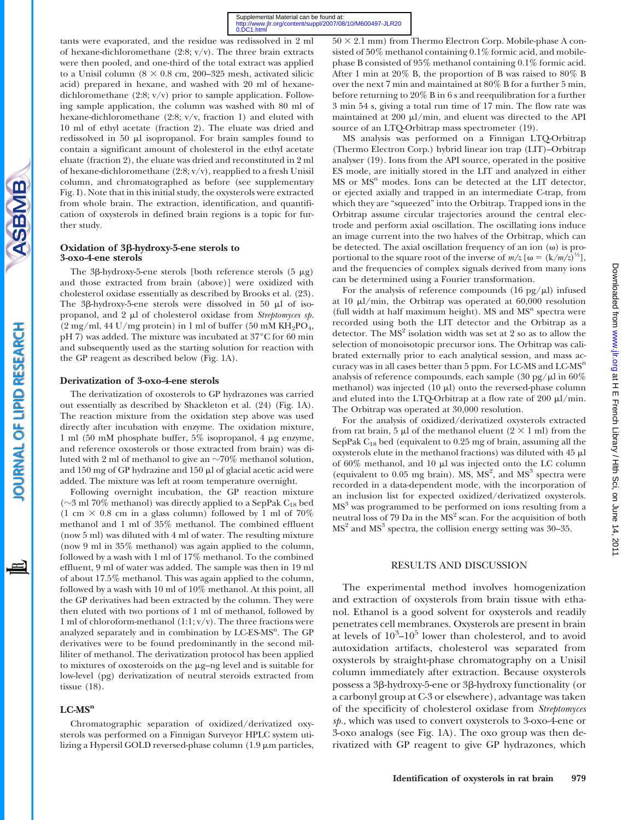tants were evaporated, and the residue was redissolved in 2 ml of hexane-dichloromethane  $(2:8; v/v)$ . The three brain extracts were then pooled, and one-third of the total extract was applied to a Unisil column ( $8 \times 0.8$  cm, 200–325 mesh, activated silicic acid) prepared in hexane, and washed with 20 ml of hexanedichloromethane (2:8; v/v) prior to sample application. Following sample application, the column was washed with 80 ml of hexane-dichloromethane (2:8; v/v, fraction 1) and eluted with 10 ml of ethyl acetate (fraction 2). The eluate was dried and redissolved in 50  $\mu$ l isopropanol. For brain samples found to contain a significant amount of cholesterol in the ethyl acetate eluate (fraction 2), the eluate was dried and reconstituted in 2 ml of hexane-dichloromethane (2:8; v/v), reapplied to a fresh Unisil column, and chromatographed as before (see supplementary Fig. I). Note that in this initial study, the oxysterols were extracted from whole brain. The extraction, identification, and quantification of oxysterols in defined brain regions is a topic for further study.

## Oxidation of 3β-hydroxy-5-ene sterols to 3-oxo-4-ene sterols

**SBMB** 

OURNAL OF LIPID RESEARCH

The 3 $\beta$ -hydroxy-5-ene sterols [both reference sterols (5  $\mu$ g) and those extracted from brain (above)] were oxidized with cholesterol oxidase essentially as described by Brooks et al. (23). The  $3\beta$ -hydroxy-5-ene sterols were dissolved in 50  $\mu$ l of isopropanol, and  $2 \mu$ l of cholesterol oxidase from Streptomyces sp.  $(2 \text{ mg/ml}, 44 \text{ U/mg protein})$  in 1 ml of buffer (50 mM KH<sub>2</sub>PO<sub>4</sub>, pH 7) was added. The mixture was incubated at  $37^{\circ}$ C for 60 min and subsequently used as the starting solution for reaction with the GP reagent as described below (Fig. 1A).

#### Derivatization of 3-oxo-4-ene sterols

The derivatization of oxosterols to GP hydrazones was carried out essentially as described by Shackleton et al. (24) (Fig. 1A). The reaction mixture from the oxidation step above was used directly after incubation with enzyme. The oxidation mixture, 1 ml (50 mM phosphate buffer, 5% isopropanol, 4 mg enzyme, and reference oxosterols or those extracted from brain) was diluted with 2 ml of methanol to give an  $\sim 70\%$  methanol solution, and 150 mg of GP hydrazine and 150  $\mu$ l of glacial acetic acid were added. The mixture was left at room temperature overnight.

Following overnight incubation, the GP reaction mixture ( $\sim$ 3 ml 70% methanol) was directly applied to a SepPak C<sub>18</sub> bed (1 cm  $\times$  0.8 cm in a glass column) followed by 1 ml of 70% methanol and 1 ml of 35% methanol. The combined effluent (now 5 ml) was diluted with 4 ml of water. The resulting mixture (now 9 ml in 35% methanol) was again applied to the column, followed by a wash with 1 ml of 17% methanol. To the combined effluent, 9 ml of water was added. The sample was then in 19 ml of about 17.5% methanol. This was again applied to the column, followed by a wash with 10 ml of 10% methanol. At this point, all the GP derivatives had been extracted by the column. They were then eluted with two portions of 1 ml of methanol, followed by 1 ml of chloroform-methanol  $(1:1; v/v)$ . The three fractions were analyzed separately and in combination by LC-ES-MS<sup>n</sup>. The GP derivatives were to be found predominantly in the second milliliter of methanol. The derivatization protocol has been applied to mixtures of oxosteroids on the µg-ng level and is suitable for low-level (pg) derivatization of neutral steroids extracted from tissue (18).

# $LC-MS^n$

Chromatographic separation of oxidized/derivatized oxysterols was performed on a Finnigan Surveyor HPLC system utilizing a Hypersil GOLD reversed-phase column  $(1.9 \mu m)$  particles,

 $50 \times 2.1$  mm) from Thermo Electron Corp. Mobile-phase A consisted of 50% methanol containing 0.1% formic acid, and mobilephase B consisted of 95% methanol containing 0.1% formic acid. After 1 min at 20% B, the proportion of B was raised to 80% B over the next 7 min and maintained at 80% B for a further 5 min, before returning to 20% B in 6 s and reequilibration for a further 3 min 54 s, giving a total run time of 17 min. The flow rate was maintained at  $200 \mu l/min$ , and eluent was directed to the API source of an LTQ-Orbitrap mass spectrometer (19).

MS analysis was performed on a Finnigan LTQ-Orbitrap (Thermo Electron Corp.) hybrid linear ion trap (LIT)–Orbitrap analyser (19). Ions from the API source, operated in the positive ES mode, are initially stored in the LIT and analyzed in either  $MS$  or  $MS<sup>n</sup>$  modes. Ions can be detected at the LIT detector, or ejected axially and trapped in an intermediate C-trap, from which they are "squeezed" into the Orbitrap. Trapped ions in the Orbitrap assume circular trajectories around the central electrode and perform axial oscillation. The oscillating ions induce an image current into the two halves of the Orbitrap, which can be detected. The axial oscillation frequency of an ion  $(\omega)$  is proportional to the square root of the inverse of  $m/z$  [ $\omega = (k/m/z)^{1/2}$ ], and the frequencies of complex signals derived from many ions can be determined using a Fourier transformation.

For the analysis of reference compounds (16 pg/ $\mu$ l) infused at 10  $\mu$ l/min, the Orbitrap was operated at 60,000 resolution (full width at half maximum height).  $MS$  and  $MS<sup>n</sup>$  spectra were recorded using both the LIT detector and the Orbitrap as a detector. The  $MS<sup>2</sup>$  isolation width was set at 2 so as to allow the selection of monoisotopic precursor ions. The Orbitrap was calibrated externally prior to each analytical session, and mass accuracy was in all cases better than  $5$  ppm. For LC-MS and LC-MS<sup>n</sup> analysis of reference compounds, each sample (30 pg/ $\mu$ l in 60%) methanol) was injected  $(10 \mu l)$  onto the reversed-phase column and eluted into the LTQ-Orbitrap at a flow rate of 200  $\mu$ l/min. The Orbitrap was operated at 30,000 resolution.

For the analysis of oxidized/derivatized oxysterols extracted from rat brain, 5  $\mu$ l of the methanol eluent (2  $\times$  1 ml) from the SepPak  $C_{18}$  bed (equivalent to 0.25 mg of brain, assuming all the oxysterols elute in the methanol fractions) was diluted with 45 ml of  $60\%$  methanol, and  $10 \mu l$  was injected onto the LC column (equivalent to  $0.05$  mg brain). MS,  $MS<sup>2</sup>$ , and  $MS<sup>3</sup>$  spectra were recorded in a data-dependent mode, with the incorporation of an inclusion list for expected oxidized/derivatized oxysterols. MS<sup>3</sup> was programmed to be performed on ions resulting from a neutral loss of 79 Da in the MS<sup>2</sup> scan. For the acquisition of both  $MS<sup>2</sup>$  and  $MS<sup>3</sup>$  spectra, the collision energy setting was 30–35.

## RESULTS AND DISCUSSION

The experimental method involves homogenization and extraction of oxysterols from brain tissue with ethanol. Ethanol is a good solvent for oxysterols and readily penetrates cell membranes. Oxysterols are present in brain at levels of  $10^3$ – $10^5$  lower than cholesterol, and to avoid autoxidation artifacts, cholesterol was separated from oxysterols by straight-phase chromatography on a Unisil column immediately after extraction. Because oxysterols possess a 3b-hydroxy-5-ene or 3b-hydroxy functionality (or a carbonyl group at C-3 or elsewhere), advantage was taken of the specificity of cholesterol oxidase from Streptomyces sp., which was used to convert oxysterols to 3-oxo-4-ene or 3-oxo analogs (see Fig. 1A). The oxo group was then derivatized with GP reagent to give GP hydrazones, which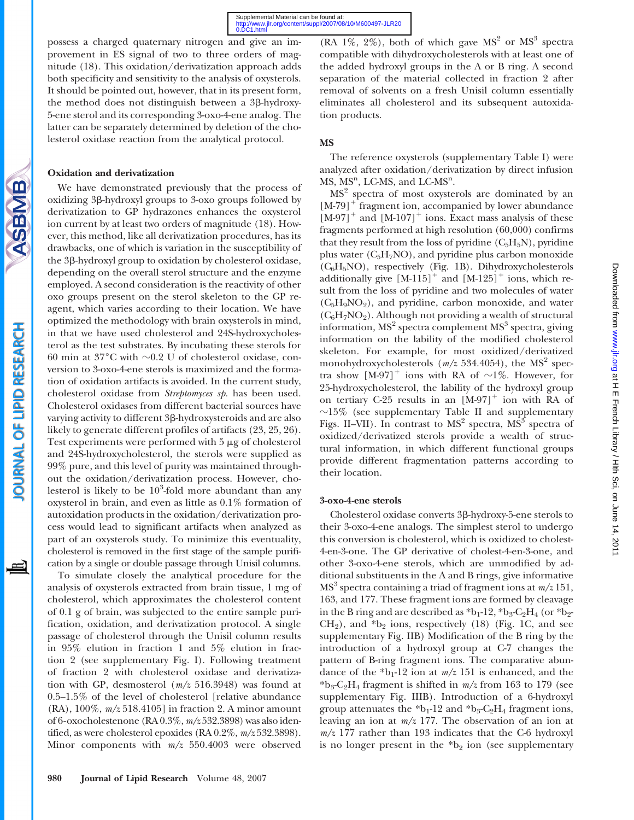possess a charged quaternary nitrogen and give an improvement in ES signal of two to three orders of magnitude (18). This oxidation/derivatization approach adds both specificity and sensitivity to the analysis of oxysterols. It should be pointed out, however, that in its present form, the method does not distinguish between a 3 $\beta$ -hydroxy-5-ene sterol and its corresponding 3-oxo-4-ene analog. The latter can be separately determined by deletion of the cholesterol oxidase reaction from the analytical protocol.

# Oxidation and derivatization

ASBMB

OURNAL OF LIPID RESEARCH

We have demonstrated previously that the process of oxidizing 3b-hydroxyl groups to 3-oxo groups followed by derivatization to GP hydrazones enhances the oxysterol ion current by at least two orders of magnitude (18). However, this method, like all derivatization procedures, has its drawbacks, one of which is variation in the susceptibility of the 3β-hydroxyl group to oxidation by cholesterol oxidase, depending on the overall sterol structure and the enzyme employed. A second consideration is the reactivity of other oxo groups present on the sterol skeleton to the GP reagent, which varies according to their location. We have optimized the methodology with brain oxysterols in mind, in that we have used cholesterol and 24S-hydroxycholesterol as the test substrates. By incubating these sterols for 60 min at 37 $^{\circ}$ C with  $\sim$ 0.2 U of cholesterol oxidase, conversion to 3-oxo-4-ene sterols is maximized and the formation of oxidation artifacts is avoided. In the current study, cholesterol oxidase from Streptomyces sp. has been used. Cholesterol oxidases from different bacterial sources have varying activity to different 3<sub>β</sub>-hydroxysteroids and are also likely to generate different profiles of artifacts (23, 25, 26). Test experiments were performed with  $5 \mu$ g of cholesterol and 24S-hydroxycholesterol, the sterols were supplied as 99% pure, and this level of purity was maintained throughout the oxidation/derivatization process. However, cholesterol is likely to be  $10^3$ -fold more abundant than any oxysterol in brain, and even as little as 0.1% formation of autoxidation products in the oxidation/derivatization process would lead to significant artifacts when analyzed as part of an oxysterols study. To minimize this eventuality, cholesterol is removed in the first stage of the sample purification by a single or double passage through Unisil columns.

To simulate closely the analytical procedure for the analysis of oxysterols extracted from brain tissue, 1 mg of cholesterol, which approximates the cholesterol content of 0.1 g of brain, was subjected to the entire sample purification, oxidation, and derivatization protocol. A single passage of cholesterol through the Unisil column results in 95% elution in fraction 1 and 5% elution in fraction 2 (see supplementary Fig. I). Following treatment of fraction 2 with cholesterol oxidase and derivatization with GP, desmosterol (m/z 516.3948) was found at 0.5–1.5% of the level of cholesterol [relative abundance (RA), 100%, m/z 518.4105] in fraction 2. A minor amount of 6-oxocholestenone (RA 0.3%, m/z 532.3898) was also identified, as were cholesterol epoxides (RA 0.2%,  $m/z$  532.3898). Minor components with m/z 550.4003 were observed

(RA 1\%, 2\%), both of which gave  $MS<sup>2</sup>$  or  $MS<sup>3</sup>$  spectra compatible with dihydroxycholesterols with at least one of the added hydroxyl groups in the A or B ring. A second separation of the material collected in fraction 2 after removal of solvents on a fresh Unisil column essentially eliminates all cholesterol and its subsequent autoxidation products.

# MS

The reference oxysterols (supplementary Table I) were analyzed after oxidation/derivatization by direct infusion  $MS$ ,  $MS<sup>n</sup>$ , LC-MS, and LC-MS<sup>n</sup>.

 $MS<sup>2</sup>$  spectra of most oxysterols are dominated by an  $[M-79]$ <sup>+</sup> fragment ion, accompanied by lower abundance  $[M-97]^+$  and  $[M-107]^+$  ions. Exact mass analysis of these fragments performed at high resolution (60,000) confirms that they result from the loss of pyridine  $(C_5H_5N)$ , pyridine plus water  $(C_5H_7NO)$ , and pyridine plus carbon monoxide (C6H5NO), respectively (Fig. 1B). Dihydroxycholesterols additionally give  $[M-115]^+$  and  $[M-125]^+$  ions, which result from the loss of pyridine and two molecules of water  $(C_5H_9NO_2)$ , and pyridine, carbon monoxide, and water  $(C_6H_7NO_2)$ . Although not providing a wealth of structural information,  $MS<sup>2</sup>$  spectra complement  $MS<sup>3</sup>$  spectra, giving information on the lability of the modified cholesterol skeleton. For example, for most oxidized/derivatized monohydroxycholesterols  $(m/z 534.4054)$ , the MS<sup>2</sup> spectra show  $[M-97]$ <sup>+</sup> ions with RA of  $\sim$ 1%. However, for 25-hydroxycholesterol, the lability of the hydroxyl group on tertiary C-25 results in an  $[M-97]^+$  ion with RA of  $\sim$ 15% (see supplementary Table II and supplementary Figs. II–VII). In contrast to  $MS<sup>2</sup>$  spectra,  $MS<sup>3</sup>$  spectra of oxidized/derivatized sterols provide a wealth of structural information, in which different functional groups provide different fragmentation patterns according to their location.

# 3-oxo-4-ene sterols

Cholesterol oxidase converts 3b-hydroxy-5-ene sterols to their 3-oxo-4-ene analogs. The simplest sterol to undergo this conversion is cholesterol, which is oxidized to cholest-4-en-3-one. The GP derivative of cholest-4-en-3-one, and other 3-oxo-4-ene sterols, which are unmodified by additional substituents in the A and B rings, give informative  $MS<sup>3</sup>$  spectra containing a triad of fragment ions at  $m/z$  151, 163, and 177. These fragment ions are formed by cleavage in the B ring and are described as  $b_1-12$ ,  $b_3-C_2H_4$  (or  $b_2 CH<sub>2</sub>$ ), and  $b<sub>2</sub>$  ions, respectively (18) (Fig. 1C, and see supplementary Fig. IIB) Modification of the B ring by the introduction of a hydroxyl group at C-7 changes the pattern of B-ring fragment ions. The comparative abundance of the  $b_1-12$  ion at  $m/z$  151 is enhanced, and the  $*b_3-C_2H_4$  fragment is shifted in  $m/z$  from 163 to 179 (see supplementary Fig. IIIB). Introduction of a 6-hydroxyl group attenuates the  $b_1$ -12 and  $b_3$ -C<sub>2</sub>H<sub>4</sub> fragment ions, leaving an ion at  $m/z$  177. The observation of an ion at  $m/z$  177 rather than 193 indicates that the C-6 hydroxyl is no longer present in the  $b_2$  ion (see supplementary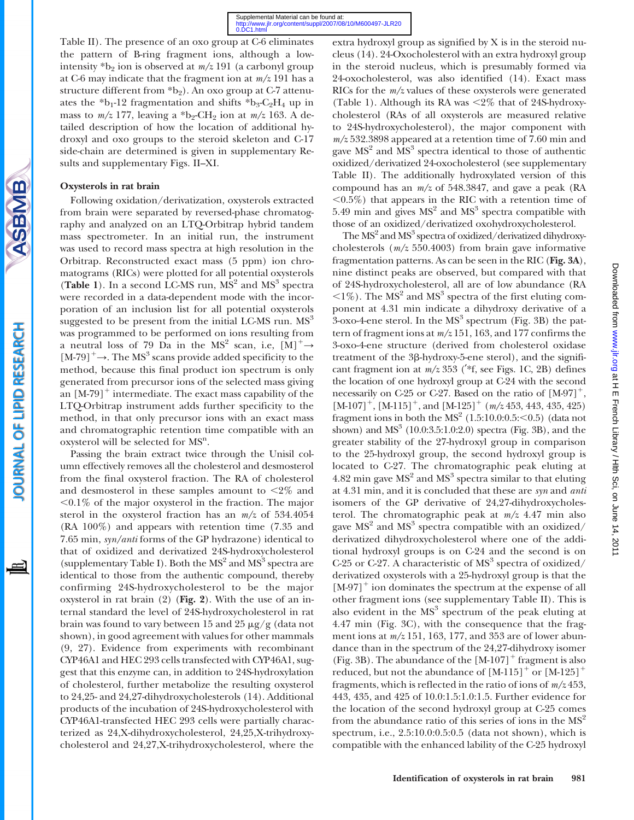Table II). The presence of an oxo group at C-6 eliminates the pattern of B-ring fragment ions, although a lowintensity  $b_2$  ion is observed at  $m/z$  191 (a carbonyl group at C-6 may indicate that the fragment ion at  $m/z$  191 has a structure different from  $b_2$ ). An oxo group at C-7 attenuates the  $b_1-12$  fragmentation and shifts  $b_3-C_2H_4$  up in mass to  $m/z$  177, leaving a \*b<sub>2</sub>-CH<sub>2</sub> ion at  $m/z$  163. A detailed description of how the location of additional hydroxyl and oxo groups to the steroid skeleton and C-17 side-chain are determined is given in supplementary Results and supplementary Figs. II–XI.

# Oxysterols in rat brain

Following oxidation/derivatization, oxysterols extracted from brain were separated by reversed-phase chromatography and analyzed on an LTQ-Orbitrap hybrid tandem mass spectrometer. In an initial run, the instrument was used to record mass spectra at high resolution in the Orbitrap. Reconstructed exact mass (5 ppm) ion chromatograms (RICs) were plotted for all potential oxysterols (Table 1). In a second LC-MS run,  $MS<sup>2</sup>$  and  $MS<sup>3</sup>$  spectra were recorded in a data-dependent mode with the incorporation of an inclusion list for all potential oxysterols suggested to be present from the initial LC-MS run.  $MS<sup>3</sup>$ was programmed to be performed on ions resulting from a neutral loss of 79 Da in the MS<sup>2</sup> scan, i.e,  $[M]^{+} \rightarrow$  $[M-79]^+ \rightarrow$ . The MS<sup>3</sup> scans provide added specificity to the method, because this final product ion spectrum is only generated from precursor ions of the selected mass giving an  $[M-79]^+$  intermediate. The exact mass capability of the LTQ-Orbitrap instrument adds further specificity to the method, in that only precursor ions with an exact mass and chromatographic retention time compatible with an oxysterol will be selected for MS<sup>n</sup>.

Passing the brain extract twice through the Unisil column effectively removes all the cholesterol and desmosterol from the final oxysterol fraction. The RA of cholesterol and desmosterol in these samples amount to  $\leq 2\%$  and  $0.1\%$  of the major oxysterol in the fraction. The major sterol in the oxysterol fraction has an  $m/z$  of 534.4054 (RA 100%) and appears with retention time (7.35 and 7.65 min, syn/anti forms of the GP hydrazone) identical to that of oxidized and derivatized 24S-hydroxycholesterol (supplementary Table I). Both the  $MS<sup>2</sup>$  and  $MS<sup>3</sup>$  spectra are identical to those from the authentic compound, thereby confirming 24S-hydroxycholesterol to be the major oxysterol in rat brain (2) (Fig. 2). With the use of an internal standard the level of 24S-hydroxycholesterol in rat brain was found to vary between 15 and 25  $\mu$ g/g (data not shown), in good agreement with values for other mammals (9, 27). Evidence from experiments with recombinant CYP46A1 and HEC 293 cells transfected with CYP46A1, suggest that this enzyme can, in addition to 24S-hydroxylation of cholesterol, further metabolize the resulting oxysterol to 24,25- and 24,27-dihydroxycholesterols (14). Additional products of the incubation of 24S-hydroxycholesterol with CYP46A1-transfected HEC 293 cells were partially characterized as 24,X-dihydroxycholesterol, 24,25,X-trihydroxycholesterol and 24,27,X-trihydroxycholesterol, where the

extra hydroxyl group as signified by X is in the steroid nucleus (14). 24-Oxocholesterol with an extra hydroxyl group in the steroid nucleus, which is presumably formed via 24-oxocholesterol, was also identified (14). Exact mass RICs for the  $m/z$  values of these oxysterols were generated (Table 1). Although its RA was  $\leq 2\%$  that of 24S-hydroxycholesterol (RAs of all oxysterols are measured relative to 24S-hydroxycholesterol), the major component with  $m/z$  532.3898 appeared at a retention time of 7.60 min and gave  $MS<sup>2</sup>$  and  $MS<sup>3</sup>$  spectra identical to those of authentic oxidized/derivatized 24-oxocholesterol (see supplementary Table II). The additionally hydroxylated version of this compound has an  $m/z$  of 548.3847, and gave a peak (RA  $\langle0.5\%$ ) that appears in the RIC with a retention time of 5.49 min and gives  $MS<sup>2</sup>$  and  $MS<sup>3</sup>$  spectra compatible with those of an oxidized/derivatized oxohydroxycholesterol.

The  $MS<sup>2</sup>$  and  $MS<sup>3</sup>$  spectra of oxidized/derivatized dihydroxycholesterols  $(m/z 550.4003)$  from brain gave informative fragmentation patterns. As can be seen in the RIC (Fig. 3A), nine distinct peaks are observed, but compared with that of 24S-hydroxycholesterol, all are of low abundance (RA  $\langle 1\% \rangle$ . The MS<sup>2</sup> and MS<sup>3</sup> spectra of the first eluting component at 4.31 min indicate a dihydroxy derivative of a  $3$ -oxo-4-ene sterol. In the  $MS<sup>3</sup>$  spectrum (Fig. 3B) the pattern of fragment ions at  $m/z$  151, 163, and 177 confirms the 3-oxo-4-ene structure (derived from cholesterol oxidase treatment of the 3<sup>8</sup>-hydroxy-5-ene sterol), and the significant fragment ion at  $m/z$  353 (\*f, see Figs. 1C, 2B) defines the location of one hydroxyl group at C-24 with the second necessarily on C-25 or C-27. Based on the ratio of  $[M-97]^+,$  $[M-107]^+$ ,  $[M-115]^+$ , and  $[M-125]^+$  ( $m/z$  453, 443, 435, 425) fragment ions in both the  $MS<sup>2</sup>$  (1.5:10.0:0.5: $<$ 0.5) (data not shown) and  $MS<sup>3</sup>$  (10.0:3.5:1.0:2.0) spectra (Fig. 3B), and the greater stability of the 27-hydroxyl group in comparison to the 25-hydroxyl group, the second hydroxyl group is located to C-27. The chromatographic peak eluting at 4.82 min gave  $MS<sup>2</sup>$  and  $MS<sup>3</sup>$  spectra similar to that eluting at 4.31 min, and it is concluded that these are syn and anti isomers of the GP derivative of 24,27-dihydroxycholesterol. The chromatographic peak at  $m/z$  4.47 min also gave  $MS<sup>2</sup>$  and  $MS<sup>3</sup>$  spectra compatible with an oxidized/ derivatized dihydroxycholesterol where one of the additional hydroxyl groups is on C-24 and the second is on C-25 or C-27. A characteristic of  $MS<sup>3</sup>$  spectra of oxidized/ derivatized oxysterols with a 25-hydroxyl group is that the  $[M-97]$ <sup>+</sup> ion dominates the spectrum at the expense of all other fragment ions (see supplementary Table II). This is also evident in the  $MS<sup>3</sup>$  spectrum of the peak eluting at 4.47 min (Fig. 3C), with the consequence that the fragment ions at  $m/z$  151, 163, 177, and 353 are of lower abundance than in the spectrum of the 24,27-dihydroxy isomer (Fig. 3B). The abundance of the  $[M-107]^+$  fragment is also reduced, but not the abundance of  $[M-115]^+$  or  $[M-125]^+$ fragments, which is reflected in the ratio of ions of  $m/z$  453, 443, 435, and 425 of 10.0:1.5:1.0:1.5. Further evidence for the location of the second hydroxyl group at C-25 comes from the abundance ratio of this series of ions in the  $MS<sup>2</sup>$ spectrum, i.e., 2.5:10.0:0.5:0.5 (data not shown), which is compatible with the enhanced lability of the C-25 hydroxyl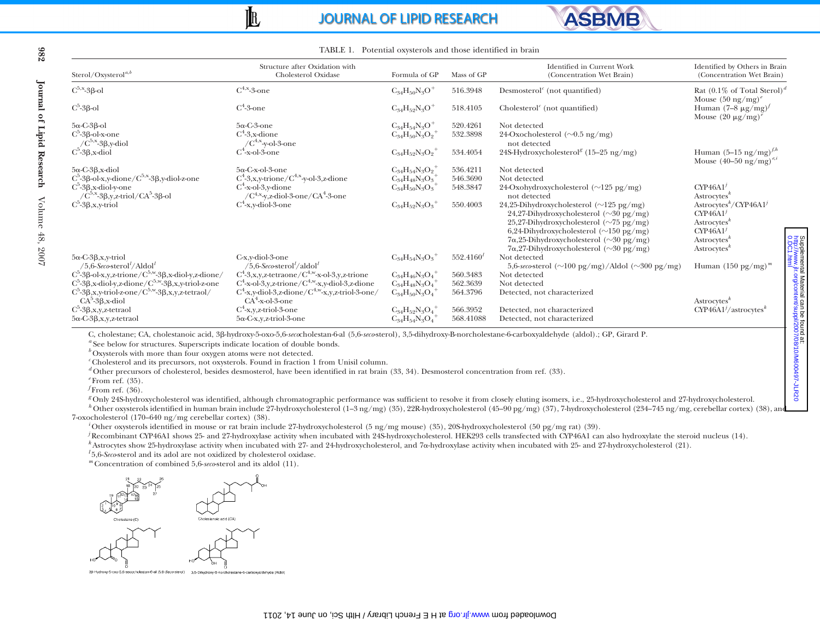# **JOURNAL OF LIPID RESEARCH**



| Sterol/Oxysterol <sup>a,b</sup>                                                                         | Structure after Oxidation with<br>Cholesterol Oxidase                        | Formula of GP                     | Mass of GP     | Identified in Current Work<br>(Concentration Wet Brain)                                                                                                                                                                                                                                               | Identified by Others in Brain<br>(Concentration Wet Brain)                                                                                             |
|---------------------------------------------------------------------------------------------------------|------------------------------------------------------------------------------|-----------------------------------|----------------|-------------------------------------------------------------------------------------------------------------------------------------------------------------------------------------------------------------------------------------------------------------------------------------------------------|--------------------------------------------------------------------------------------------------------------------------------------------------------|
| $C^{5,x}$ -3 $\beta$ -ol                                                                                | $\mathrm{C}^{4,\mathrm{x}}$ -3-one                                           | $C_{34}H_{50}N_3O^+$              | 516.3948       | Desmosterol <sup><math>\epsilon</math></sup> (not quantified)                                                                                                                                                                                                                                         | Rat $(0.1\%$ of Total Sterol) <sup>d</sup><br>Mouse $(50 \text{ ng/mg})^e$                                                                             |
| $C^5$ -3 $\beta$ -ol                                                                                    | $C^4$ -3-one                                                                 | $C_{34}H_{52}N_3O^+$              | 518.4105       | Cholesterol <sup><math>\epsilon</math></sup> (not quantified)                                                                                                                                                                                                                                         | Human $(7-8 \mu g/mg)^f$<br>Mouse $(20 \mu g/mg)'$                                                                                                     |
| $5\alpha$ -C-3 $\beta$ -ol                                                                              | $5\alpha$ -C-3-one                                                           | $C_{34}H_{54}N_3O^+$              | 520.4261       | Not detected                                                                                                                                                                                                                                                                                          |                                                                                                                                                        |
| $C^5$ -3 $\beta$ -ol-x-one                                                                              | $C^4$ -3,x-dione                                                             | $C_{34}H_{50}N_3O_2^+$            | 532.3898       | 24-Oxocholesterol ( $\sim 0.5$ ng/mg)                                                                                                                                                                                                                                                                 |                                                                                                                                                        |
| $/C^{5,x}$ -3 $\beta$ ,y-diol                                                                           | $/C^{4,x}$ -y-ol-3-one                                                       |                                   |                | not detected                                                                                                                                                                                                                                                                                          |                                                                                                                                                        |
| $C^5-3\beta$ , x-diol                                                                                   | $C^4$ -x-ol-3-one                                                            | $C_{34}H_{52}N_3O_2$ <sup>+</sup> | 534.4054       | 24S-Hydroxycholesterol <sup>g</sup> (15-25 ng/mg)                                                                                                                                                                                                                                                     | Human $(5-15 \text{ ng/mg})^{f,h}$<br>Mouse $(40 - 50 \text{ ng/mg})^{e,i}$                                                                            |
| $5\alpha$ -C-3 $\beta$ , x-diol                                                                         | $5\alpha$ -C-x-ol-3-one                                                      | $C_{34}H_{54}N_3O_2$              | 536.4211       | Not detected                                                                                                                                                                                                                                                                                          |                                                                                                                                                        |
| $C^5$ -3 $\beta$ -ol-x,y-dione/ $C^{5,x}$ -3 $\beta$ ,y-diol-z-one                                      | $C^4$ -3,x,y-trione/ $C^{4,x}$ -y-ol-3,z-dione                               | $C_{34}H_{48}N_3O_3$              | 546.3690       | Not detected                                                                                                                                                                                                                                                                                          |                                                                                                                                                        |
| $C^5$ -3 $\beta$ ,x-diol-y-one<br>$\sqrt{C}^{5,x}$ -3 $\beta,y,z$ -triol/CA <sup>5</sup> -3 $\beta$ -ol | $C^4$ -x-ol-3,y-dione<br>$/C^{4,x}$ y,z-diol-3-one/CA <sup>4</sup> -3-one    | $C_{34}H_{50}N_3O_3$              | 548.3847       | 24-Oxohydroxycholesterol ( $\sim$ 125 pg/mg)<br>not detected                                                                                                                                                                                                                                          | $CYP46A1^j$<br>$A \n    strocytesk$                                                                                                                    |
| $C^5-3\beta, x, y\text{-triol}$                                                                         | $C^4$ -x,y-diol-3-one                                                        | $C_{34}H_{52}N_3O_3^+$            | 550.4003       | 24,25-Dihydroxycholesterol ( $\sim$ 125 pg/mg)<br>24,27-Dihydroxycholesterol (~30 pg/mg)<br>25,27-Dihydroxycholesterol ( $\sim$ 75 pg/mg)<br>6,24-Dihydroxycholesterol ( $\sim$ 150 pg/mg)<br>$7\alpha,25$ -Dihydroxycholesterol ( $\sim$ 30 pg/mg)<br>$7\alpha,27$ -Dihydroxycholesterol (~30 pg/mg) | Astrocytes <sup>k</sup> /CYP46A1 <sup>j</sup><br>CYP46A1'<br>Astrocytes <sup>k</sup><br>CYP46A1'<br>Astrocytes <sup>k</sup><br>Astrocytes <sup>k</sup> |
| $5\alpha$ -C-3 $\beta$ , x, y-triol<br>/5,6-Seco-sterol <sup><math>t</math></sup> /Aldol <sup>t</sup>   | C-x,y-diol-3-one<br>/5.6-Seco-sterol <sup>1</sup> /aldol <sup>1</sup>        | $C_{34}H_{54}N_3O_3^+$            | $552.4160^{l}$ | Not detected<br>5,6-seco-sterol $(\sim]100 \text{ pg/mg})$ /Aldol $(\sim]300 \text{ pg/mg})$                                                                                                                                                                                                          | Human $(150 \text{ pg/mg})^m$                                                                                                                          |
| $C^5_2-3\beta$ -ol-x,y,z-trione/ $C^{5,w}$ -3 $\beta$ ,x-diol-y,z-dione/                                | $C^4$ -3,x,y,z-tetraone/ $C^{4,w}$ -x-ol-3,y,z-trione                        | $C_{34}H_{46}N_3O_4^+$            | 560.3483       | Not detected                                                                                                                                                                                                                                                                                          |                                                                                                                                                        |
| $C^5$ -3 $\beta$ ,x-diol-y,z-dione/ $C^{5,w}$ -3 $\beta$ ,x,y-triol-z-one                               | $C^4$ -x-ol-3,y,z-trione/ $C^{4,w}$ -x,y-diol-3,z-dione                      | $C_{34}H_{48}N_3O_4$              | 562.3639       | Not detected                                                                                                                                                                                                                                                                                          |                                                                                                                                                        |
| $C^5$ -3 $\beta$ ,x,y-triol-z-one/ $C^{5,w}$ -3 $\beta$ ,x,y,z-tetraol/<br>$CA5-3\beta$ , x-diol        | $C^4$ -x,y-diol-3,z-dione/ $C^{4,w}$ -x,y,z-triol-3-one/<br>$CA4-x-ol-3-one$ | $C_{34}H_{50}N_3O_4$              | 564.3796       | Detected, not characterized                                                                                                                                                                                                                                                                           | Astrocytes $k$                                                                                                                                         |
| $C^5$ -3 $\beta$ ,x,y,z-tetraol                                                                         | $C^4$ -x,y,z-triol-3-one                                                     | $C_{34}H_{52}N_3O_4$              | 566.3952       | Detected, not characterized                                                                                                                                                                                                                                                                           | $CYP46A1^{j}/astrocytes^{k}$                                                                                                                           |
| $5\alpha$ -C-3 $\beta$ , x, y, z-tetraol                                                                | $5\alpha$ -C-x,y,z-triol-3-one                                               | $C_{34}H_{54}N_3O_4$              | 568.41088      | Detected, not characterized                                                                                                                                                                                                                                                                           |                                                                                                                                                        |

TABLE 1. Potential oxysterols and those identified in brain

 $\mathbb{I}$ 

<sup>g</sup> Only 24S-hydroxycholesterol was identified, although chromatographic performance was sufficient to resolve it from closely eluting isomers, i.e., 25-hydroxycholesterol and 27-hydroxycholesterol.

 Other oxysterols identified in human brain include 27-hydroxycholesterol (1–3 ng/mg) (35), 22R-hydroxycholesterol (45–90 pg/mg) (37), 7-hydroxycholesterol (234–745 ng/mg, cerebellar cortex) (38), and 7-oxocholesterol (170–640 ng/mg cerebellar cortex) (38).<br>
<sup>2</sup>Other oxysterols identified in mouse or rat brain include 27-hydroxycholesterol (5 ng/mg mouse) (35), 20S-hydroxycholesterol (50 pg/mg rat) (39).

<sup>j</sup> Recombinant CYP46A1 shows 25- and 27-hydroxylase activity when incubated with 24S-hydroxycholesterol. HEK293 cells transfected with CYP46A1 can also hydroxylate the steroid nucleus (14).

Astrocytes show 25-hydroxylase activity when incubated with 27- and 24-hydroxycholesterol, and <sup>7</sup>a-hydroxylase activity when incubated with 25- and 27-hydroxycholesterol (21). l

 $^{l}$ 5,6-Seco-sterol and its adol are not oxidized by cholesterol oxidase.

 $^m$  Concentration of combined 5,6-seco-sterol and its aldol (11).



3,5-Dihydroxy-B-norcholestane-6-carboxyaldehyde (Aldol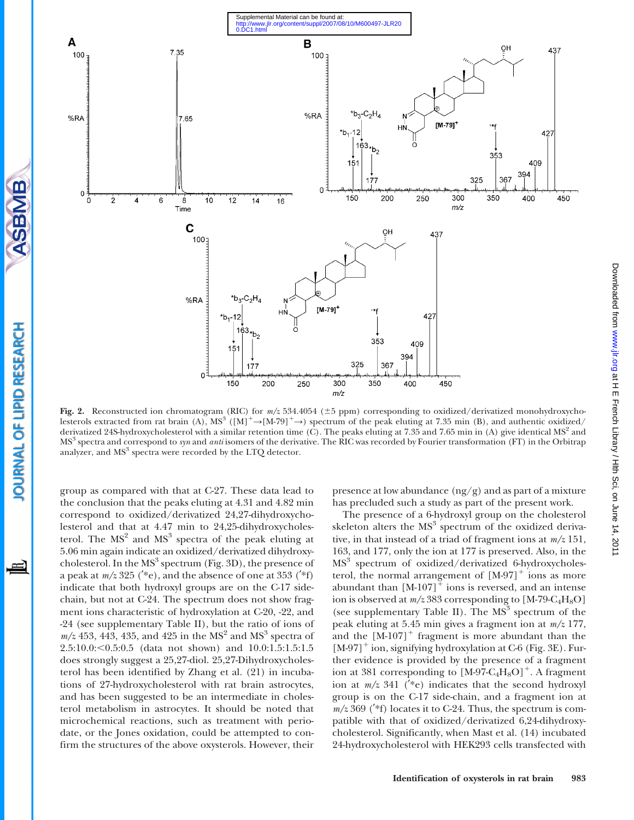

Fig. 2. Reconstructed ion chromatogram (RIC) for  $m/z$  534.4054 ( $\pm$ 5 ppm) corresponding to oxidized/derivatized monohydroxycholesterols extracted from rat brain (A),  $MS^3$  ([M]<sup>+</sup> $\rightarrow$ [M-79]<sup>+</sup> $\rightarrow$ ) spectrum of the peak eluting at 7.35 min (B), and authentic oxidized/ derivatized 24S-hydroxycholesterol with a similar retention time (C). The peaks eluting at 7.35 and 7.65 min in (A) give identical  $MS<sup>2</sup>$  and MS<sup>3</sup> spectra and correspond to syn and *anti* isomers of the derivative. The RIC was recorded by Fourier transformation (FT) in the Orbitrap analyzer, and  $MS<sup>3</sup>$  spectra were recorded by the LTQ detector.

group as compared with that at C-27. These data lead to the conclusion that the peaks eluting at 4.31 and 4.82 min correspond to oxidized/derivatized 24,27-dihydroxycholesterol and that at 4.47 min to 24,25-dihydroxycholesterol. The  $MS<sup>2</sup>$  and  $MS<sup>3</sup>$  spectra of the peak eluting at 5.06 min again indicate an oxidized/derivatized dihydroxycholesterol. In the  $MS<sup>3</sup>$  spectrum (Fig. 3D), the presence of a peak at  $m/z 325$  (\*e), and the absence of one at 353 (\*f) indicate that both hydroxyl groups are on the C-17 sidechain, but not at C-24. The spectrum does not show fragment ions characteristic of hydroxylation at C-20, -22, and -24 (see supplementary Table II), but the ratio of ions of  $m/z$  453, 443, 435, and 425 in the MS<sup>2</sup> and MS<sup>3</sup> spectra of 2.5:10.0:<0.5:0.5 (data not shown) and 10.0:1.5:1.5:1.5 does strongly suggest a 25,27-diol. 25,27-Dihydroxycholesterol has been identified by Zhang et al. (21) in incubations of 27-hydroxycholesterol with rat brain astrocytes, and has been suggested to be an intermediate in cholesterol metabolism in astrocytes. It should be noted that microchemical reactions, such as treatment with periodate, or the Jones oxidation, could be attempted to confirm the structures of the above oxysterols. However, their presence at low abundance  $(ng/g)$  and as part of a mixture has precluded such a study as part of the present work.

The presence of a 6-hydroxyl group on the cholesterol skeleton alters the  $MS<sup>3</sup>$  spectrum of the oxidized derivative, in that instead of a triad of fragment ions at  $m/z$  151, 163, and 177, only the ion at 177 is preserved. Also, in the MS<sup>3</sup> spectrum of oxidized/derivatized 6-hydroxycholesterol, the normal arrangement of  $[M-97]^+$  ions as more abundant than  $[M-107]^+$  ions is reversed, and an intense ion is observed at  $m/z 383$  corresponding to [M-79-C<sub>4</sub>H<sub>8</sub>O] (see supplementary Table II). The  $MS<sup>3</sup>$  spectrum of the peak eluting at 5.45 min gives a fragment ion at  $m/z$  177, and the  $[M-107]$ <sup>+</sup> fragment is more abundant than the  $[M-97]$ <sup>+</sup> ion, signifying hydroxylation at C-6 (Fig. 3E). Further evidence is provided by the presence of a fragment ion at 381 corresponding to  $[M-97-C_4H_8O]^+$ . A fragment ion at  $m/z$  341 (\*e) indicates that the second hydroxyl group is on the C-17 side-chain, and a fragment ion at  $m/z$  369 (\*f) locates it to C-24. Thus, the spectrum is compatible with that of oxidized/derivatized 6,24-dihydroxycholesterol. Significantly, when Mast et al. (14) incubated 24-hydroxycholesterol with HEK293 cells transfected with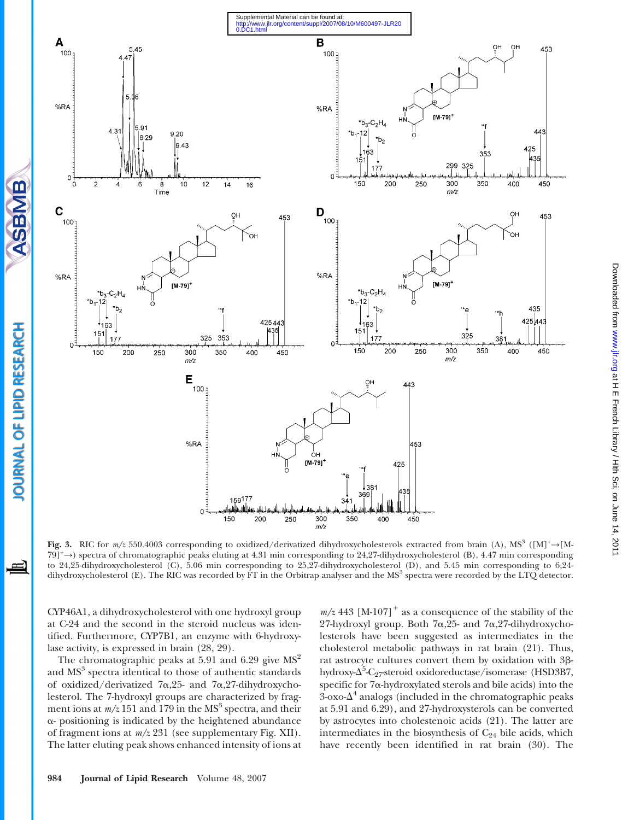

Fig. 3. RIC for m/z 550.4003 corresponding to oxidized/derivatized dihydroxycholesterols extracted from brain (A), MS<sup>3</sup> ([M]<sup>+</sup>→[M-79]<sup>+</sup> Y) spectra of chromatographic peaks eluting at 4.31 min corresponding to 24,27-dihydroxycholesterol (B), 4.47 min corresponding to 24,25-dihydroxycholesterol (C), 5.06 min corresponding to 25,27-dihydroxycholesterol (D), and 5.45 min corresponding to 6,24 dihydroxycholesterol (E). The RIC was recorded by FT in the Orbitrap analyser and the MS<sup>3</sup> spectra were recorded by the LTQ detector.

CYP46A1, a dihydroxycholesterol with one hydroxyl group at C-24 and the second in the steroid nucleus was identified. Furthermore, CYP7B1, an enzyme with 6-hydroxylase activity, is expressed in brain (28, 29).

ASBMB

OURNAL OF LIPID RESEARCH

The chromatographic peaks at 5.91 and 6.29 give  $MS<sup>2</sup>$ and MS<sup>3</sup> spectra identical to those of authentic standards of oxidized/derivatized  $7\alpha,25$ - and  $7\alpha,27$ -dihydroxycholesterol. The 7-hydroxyl groups are characterized by fragment ions at  $m/z$  151 and 179 in the MS<sup>3</sup> spectra, and their  $\alpha$ - positioning is indicated by the heightened abundance of fragment ions at m/z 231 (see supplementary Fig. XII). The latter eluting peak shows enhanced intensity of ions at

 $m/z$  443 [M-107]<sup>+</sup> as a consequence of the stability of the 27-hydroxyl group. Both 7 $\alpha$ , 25- and 7 $\alpha$ , 27-dihydroxycholesterols have been suggested as intermediates in the cholesterol metabolic pathways in rat brain (21). Thus, rat astrocyte cultures convert them by oxidation with 3bhydroxy- $\Delta^5$ -C<sub>27</sub>-steroid oxidoreductase/isomerase (HSD3B7, specific for 7a-hydroxylated sterols and bile acids) into the  $3$ -oxo- $\Delta^4$  analogs (included in the chromatographic peaks at 5.91 and 6.29), and 27-hydroxysterols can be converted by astrocytes into cholestenoic acids (21). The latter are intermediates in the biosynthesis of  $C_{24}$  bile acids, which have recently been identified in rat brain (30). The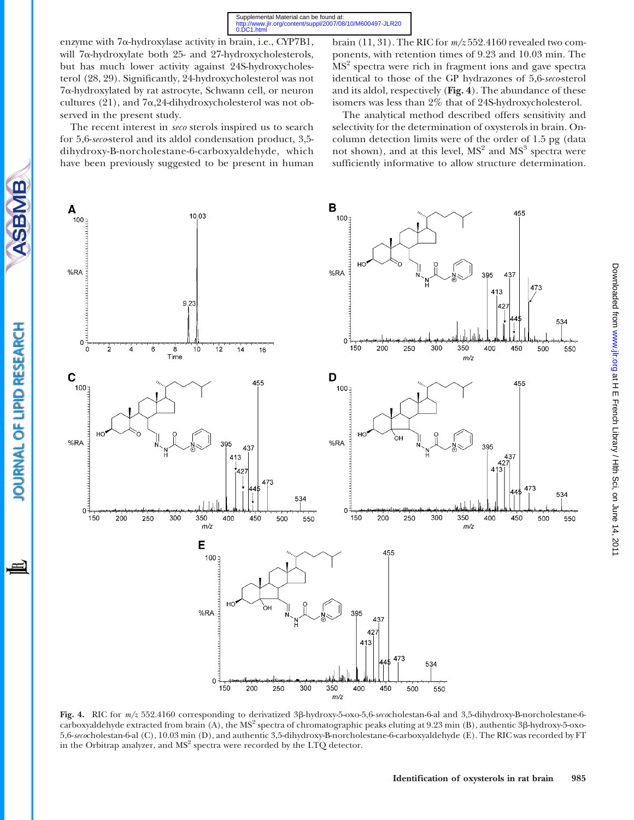0.DC1.htm Supplemental Material can be found at:<br>http://www.jlr.org/content/suppl/2007/08/10/M600497-JLR20

enzyme with 7a-hydroxylase activity in brain, i.e., CYP7B1, will 7a-hydroxylate both 25- and 27-hydroxycholesterols, but has much lower activity against 24S-hydroxycholesterol (28, 29). Significantly, 24-hydroxycholesterol was not 7a-hydroxylated by rat astrocyte, Schwann cell, or neuron cultures (21), and 7a,24-dihydroxycholesterol was not observed in the present study.

The recent interest in seco sterols inspired us to search for 5,6-seco-sterol and its aldol condensation product, 3,5 dihydroxy-B-norcholestane-6-carboxyaldehyde, which have been previously suggested to be present in human

**SBMB** 

OURNAL OF LIPID RESEARCH

Ħ

brain (11, 31). The RIC for  $m/z$  552.4160 revealed two components, with retention times of 9.23 and 10.03 min. The MS<sup>2</sup> spectra were rich in fragment ions and gave spectra identical to those of the GP hydrazones of 5,6-seco-sterol and its aldol, respectively (Fig. 4). The abundance of these isomers was less than 2% that of 24S-hydroxycholesterol.

The analytical method described offers sensitivity and selectivity for the determination of oxysterols in brain. Oncolumn detection limits were of the order of 1.5 pg (data not shown), and at this level,  $MS<sup>2</sup>$  and  $MS<sup>3</sup>$  spectra were sufficiently informative to allow structure determination.



Fig. 4. RIC for m/z 552.4160 corresponding to derivatized 3b-hydroxy-5-oxo-5,6-secocholestan-6-al and 3,5-dihydroxy-B-norcholestane-6 carboxyaldehyde extracted from brain (A), the  $MS<sup>2</sup>$  spectra of chromatographic peaks eluting at 9.23 min (B), authentic 3 $\beta$ -hydroxy-5-oxo-5,6-secocholestan-6-al (C), 10.03 min (D), and authentic 3,5-dihydroxy-B-norcholestane-6-carboxyaldehyde (E). The RIC was recorded by FT in the Orbitrap analyzer, and  $MS<sup>2</sup>$  spectra were recorded by the LTQ detector.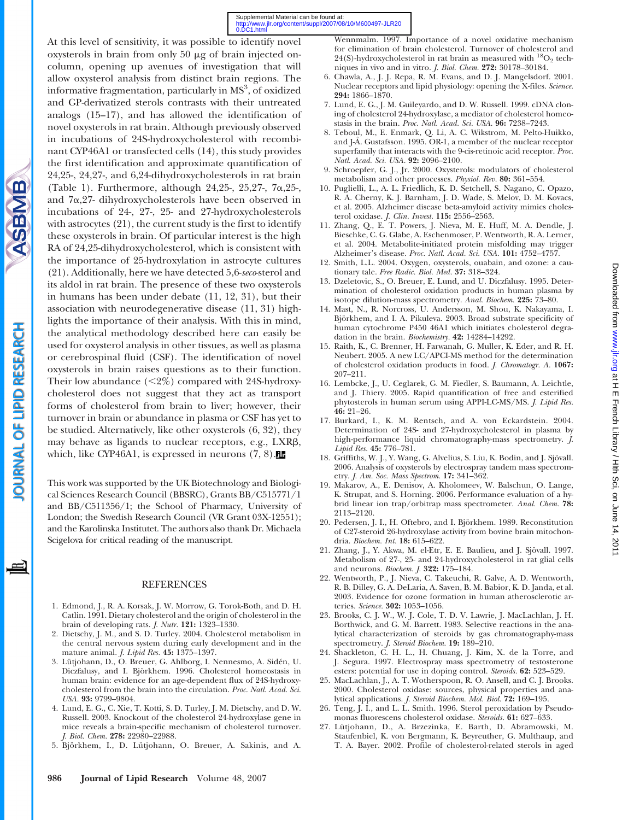

**SBMB** 

**OURNAL OF LIPID RESEARCH** 

This work was supported by the UK Biotechnology and Biological Sciences Research Council (BBSRC), Grants BB/C515771/1 and BB/C511356/1; the School of Pharmacy, University of London; the Swedish Research Council (VR Grant 03X-12551); and the Karolinska Institutet. The authors also thank Dr. Michaela Scigelova for critical reading of the manuscript.

#### REFERENCES

- 1. Edmond, J., R. A. Korsak, J. W. Morrow, G. Torok-Both, and D. H. Catlin. 1991. Dietary cholesterol and the origin of cholesterol in the brain of developing rats. J. Nutr. 121: 1323–1330.
- 2. Dietschy, J. M., and S. D. Turley. 2004. Cholesterol metabolism in the central nervous system during early development and in the mature animal. J. Lipid Res. 45: 1375–1397.
- 3. Lütjohann, D., O. Breuer, G. Ahlborg, I. Nennesmo, A. Sidén, U. Diczfalusy, and I. Björkhem. 1996. Cholesterol homeostasis in human brain: evidence for an age-dependent flux of 24S-hydroxycholesterol from the brain into the circulation. Proc. Natl. Acad. Sci. USA. 93: 9799–9804.
- 4. Lund, E. G., C. Xie, T. Kotti, S. D. Turley, J. M. Dietschy, and D. W. Russell. 2003. Knockout of the cholesterol 24-hydroxylase gene in mice reveals a brain-specific mechanism of cholesterol turnover. J. Biol. Chem. 278: 22980–22988.
- 5. Björkhem, I., D. Lütjohann, O. Breuer, A. Sakinis, and A.

Wennmalm. 1997. Importance of a novel oxidative mechanism for elimination of brain cholesterol. Turnover of cholesterol and 24(S)-hydroxycholesterol in rat brain as measured with  $^{18}{\rm O}_{2}$  techniques in vivo and in vitro. J. Biol. Chem. 272: 30178–30184.

- 6. Chawla, A., J. J. Repa, R. M. Evans, and D. J. Mangelsdorf. 2001. Nuclear receptors and lipid physiology: opening the X-files. Science. 294: 1866–1870.
- 7. Lund, E. G., J. M. Guileyardo, and D. W. Russell. 1999. cDNA cloning of cholesterol 24-hydroxylase, a mediator of cholesterol homeostasis in the brain. Proc. Natl. Acad. Sci. USA. 96: 7238–7243.
- 8. Teboul, M., E. Enmark, Q. Li, A. C. Wikstrom, M. Pelto-Huikko, and J-Å. Gustafsson. 1995. OR-1, a member of the nuclear receptor superfamily that interacts with the 9-cis-retinoic acid receptor. Proc. Natl. Acad. Sci. USA. 92: 2096-2100.
- 9. Schroepfer, G. J., Jr. 2000. Oxysterols: modulators of cholesterol metabolism and other processes. Physiol. Rev. 80: 361–554.
- 10. Puglielli, L., A. L. Friedlich, K. D. Setchell, S. Nagano, C. Opazo, R. A. Cherny, K. J. Barnham, J. D. Wade, S. Melov, D. M. Kovacs, et al. 2005. Alzheimer disease beta-amyloid activity mimics cholesterol oxidase. *J. Clin. Invest.* 115: 2556-2563.
- 11. Zhang, Q., E. T. Powers, J. Nieva, M. E. Huff, M. A. Dendle, J. Bieschke, C. G. Glabe, A. Eschenmoser, P. Wentworth, R. A. Lerner, et al. 2004. Metabolite-initiated protein misfolding may trigger Alzheimer's disease. Proc. Natl. Acad. Sci. USA. 101: 4752–4757.
- 12. Smith, L.L. 2004. Oxygen, oxysterols, ouabain, and ozone: a cautionary tale. Free Radic. Biol. Med. 37: 318–324.
- 13. Dzeletovic, S., O. Breuer, E. Lund, and U. Diczfalusy. 1995. Determination of cholesterol oxidation products in human plasma by isotope dilution-mass spectrometry. Anal. Biochem. 225: 73-80.
- 14. Mast, N., R. Norcross, U. Andersson, M. Shou, K. Nakayama, I. Björkhem, and I. A. Pikuleva. 2003. Broad substrate specificity of human cytochrome P450 46A1 which initiates cholesterol degradation in the brain. Biochemistry. 42: 14284–14292.
- 15. Raith, K., C. Brenner, H. Farwanah, G. Muller, K. Eder, and R. H. Neubert. 2005. A new LC/APCI-MS method for the determination of cholesterol oxidation products in food. J. Chromatogr. A. 1067: 207–211.
- 16. Lembcke, J., U. Ceglarek, G. M. Fiedler, S. Baumann, A. Leichtle, and J. Thiery. 2005. Rapid quantification of free and esterified phytosterols in human serum using APPI-LC-MS/MS. J. Lipid Res. 46: 21–26.
- 17. Burkard, I., K. M. Rentsch, and A. von Eckardstein. 2004. Determination of 24S- and 27-hydroxycholesterol in plasma by high-performance liquid chromatography-mass spectrometry. J. Lipid Res. 45: 776–781.
- 18. Griffiths, W. J., Y. Wang, G. Alvelius, S. Liu, K. Bodin, and J. Sjövall. 2006. Analysis of oxysterols by electrospray tandem mass spectrometry. J. Am. Soc. Mass Spectrom. 17: 341–362.
- 19. Makarov, A., E. Denisov, A. Kholomeev, W. Balschun, O. Lange, K. Strupat, and S. Horning. 2006. Performance evaluation of a hybrid linear ion trap/orbitrap mass spectrometer. Anal. Chem. 78: 2113–2120.
- 20. Pedersen, J. I., H. Oftebro, and I. Björkhem. 1989. Reconstitution of C27-steroid 26-hydroxylase activity from bovine brain mitochondria. Biochem. Int. 18: 615–622.
- 21. Zhang, J., Y. Akwa, M. el-Etr, E. E. Baulieu, and J. Sjövall. 1997. Metabolism of 27-, 25- and 24-hydroxycholesterol in rat glial cells and neurons. Biochem. J. 322: 175–184.
- 22. Wentworth, P., J. Nieva, C. Takeuchi, R. Galve, A. D. Wentworth, R. B. Dilley, G. A. DeLaria, A. Saven, B. M. Babior, K. D. Janda, et al. 2003. Evidence for ozone formation in human atherosclerotic arteries. Science. 302: 1053–1056.
- 23. Brooks, C. J. W., W. J. Cole, T. D. V. Lawrie, J. MacLachlan, J. H. Borthwick, and G. M. Barrett. 1983. Selective reactions in the analytical characterization of steroids by gas chromatography-mass spectrometry. J. Steroid Biochem. 19: 189–210.
- 24. Shackleton, C. H. L., H. Chuang, J. Kim, X. de la Torre, and J. Segura. 1997. Electrospray mass spectrometry of testosterone esters: potential for use in doping control. Steroids. 62: 523–529.
- 25. MacLachlan, J., A. T. Wotherspoon, R. O. Ansell, and C. J. Brooks. 2000. Cholesterol oxidase: sources, physical properties and analytical applications. J. Steroid Biochem. Mol. Biol. 72: 169–195.
- 26. Teng, J. I., and L. L. Smith. 1996. Sterol peroxidation by Pseudomonas fluorescens cholesterol oxidase. Steroids. 61: 627–633.
- 27. Lütjohann, D., A. Brzezinka, E. Barth, D. Abramowski, M. Staufenbiel, K. von Bergmann, K. Beyreuther, G. Multhaup, and T. A. Bayer. 2002. Profile of cholesterol-related sterols in aged